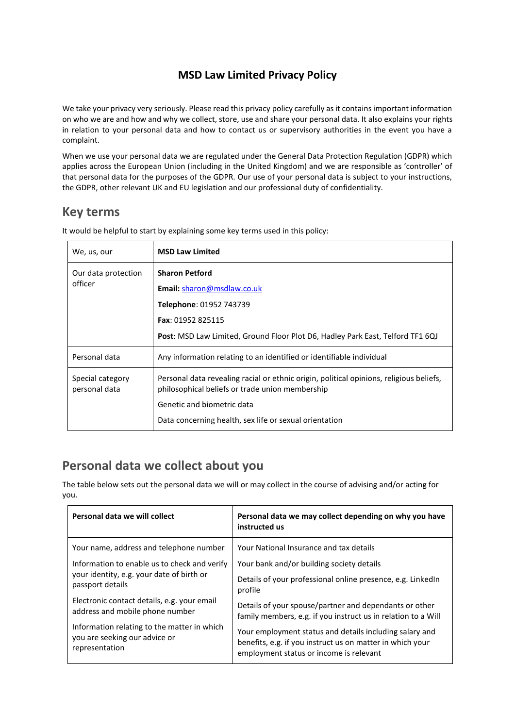### **MSD Law Limited Privacy Policy**

We take your privacy very seriously. Please read this privacy policy carefully as it contains important information on who we are and how and why we collect, store, use and share your personal data. It also explains your rights in relation to your personal data and how to contact us or supervisory authorities in the event you have a complaint.

When we use your personal data we are regulated under the General Data Protection Regulation (GDPR) which applies across the European Union (including in the United Kingdom) and we are responsible as 'controller' of that personal data for the purposes of the GDPR. Our use of your personal data is subject to your instructions, the GDPR, other relevant UK and EU legislation and our professional duty of confidentiality.

## **Key terms**

| We, us, our                       | <b>MSD Law Limited</b>                                                                                                                     |
|-----------------------------------|--------------------------------------------------------------------------------------------------------------------------------------------|
| Our data protection<br>officer    | <b>Sharon Petford</b>                                                                                                                      |
|                                   | <b>Email:</b> sharon@msdlaw.co.uk                                                                                                          |
|                                   | Telephone: 01952 743739                                                                                                                    |
|                                   | <b>Fax: 01952 825115</b>                                                                                                                   |
|                                   | <b>Post:</b> MSD Law Limited, Ground Floor Plot D6, Hadley Park East, Telford TF1 6QJ                                                      |
| Personal data                     | Any information relating to an identified or identifiable individual                                                                       |
| Special category<br>personal data | Personal data revealing racial or ethnic origin, political opinions, religious beliefs,<br>philosophical beliefs or trade union membership |
|                                   | Genetic and biometric data                                                                                                                 |
|                                   | Data concerning health, sex life or sexual orientation                                                                                     |

It would be helpful to start by explaining some key terms used in this policy:

# **Personal data we collect about you**

The table below sets out the personal data we will or may collect in the course of advising and/or acting for you.

| Personal data we will collect                | Personal data we may collect depending on why you have<br>instructed us |
|----------------------------------------------|-------------------------------------------------------------------------|
| Your name, address and telephone number      | Your National Insurance and tax details                                 |
| Information to enable us to check and verify | Your bank and/or building society details                               |
| your identity, e.g. your date of birth or    | Details of your professional online presence, e.g. LinkedIn             |
| passport details                             | profile                                                                 |
| Electronic contact details, e.g. your email  | Details of your spouse/partner and dependants or other                  |
| address and mobile phone number              | family members, e.g. if you instruct us in relation to a Will           |
| Information relating to the matter in which  | Your employment status and details including salary and                 |
| you are seeking our advice or                | benefits, e.g. if you instruct us on matter in which your               |
| representation                               | employment status or income is relevant                                 |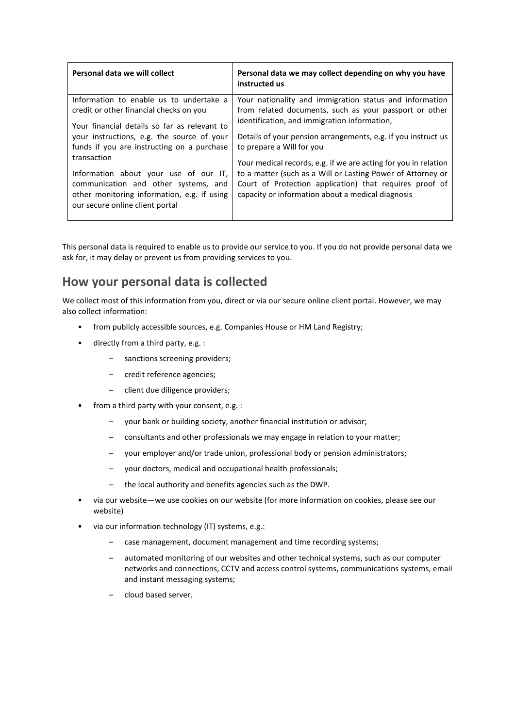| Personal data we will collect                                                                                                                                                                                                                                                                                                                                                                                    | Personal data we may collect depending on why you have<br>instructed us                                                                                                                                                                                                                                                                                                                                                                                                                                           |
|------------------------------------------------------------------------------------------------------------------------------------------------------------------------------------------------------------------------------------------------------------------------------------------------------------------------------------------------------------------------------------------------------------------|-------------------------------------------------------------------------------------------------------------------------------------------------------------------------------------------------------------------------------------------------------------------------------------------------------------------------------------------------------------------------------------------------------------------------------------------------------------------------------------------------------------------|
| Information to enable us to undertake a<br>credit or other financial checks on you<br>Your financial details so far as relevant to<br>your instructions, e.g. the source of your<br>funds if you are instructing on a purchase<br>transaction<br>Information about your use of our IT,<br>communication and other systems, and<br>other monitoring information, e.g. if using<br>our secure online client portal | Your nationality and immigration status and information<br>from related documents, such as your passport or other<br>identification, and immigration information,<br>Details of your pension arrangements, e.g. if you instruct us<br>to prepare a Will for you<br>Your medical records, e.g. if we are acting for you in relation<br>to a matter (such as a Will or Lasting Power of Attorney or<br>Court of Protection application) that requires proof of<br>capacity or information about a medical diagnosis |
|                                                                                                                                                                                                                                                                                                                                                                                                                  |                                                                                                                                                                                                                                                                                                                                                                                                                                                                                                                   |

This personal data is required to enable us to provide our service to you. If you do not provide personal data we ask for, it may delay or prevent us from providing services to you.

# **How your personal data is collected**

We collect most of this information from you, direct or via our secure online client portal. However, we may also collect information:

- from publicly accessible sources, e.g. Companies House or HM Land Registry;
- directly from a third party, e.g. :
	- sanctions screening providers;
	- credit reference agencies;
	- client due diligence providers;
- from a third party with your consent, e.g. :
	- your bank or building society, another financial institution or advisor;
	- consultants and other professionals we may engage in relation to your matter;
	- your employer and/or trade union, professional body or pension administrators;
	- your doctors, medical and occupational health professionals;
	- the local authority and benefits agencies such as the DWP.
- via our website—we use cookies on our website (for more information on cookies, please see our website)
- via our information technology (IT) systems, e.g.:
	- case management, document management and time recording systems;
	- automated monitoring of our websites and other technical systems, such as our computer networks and connections, CCTV and access control systems, communications systems, email and instant messaging systems;
	- cloud based server.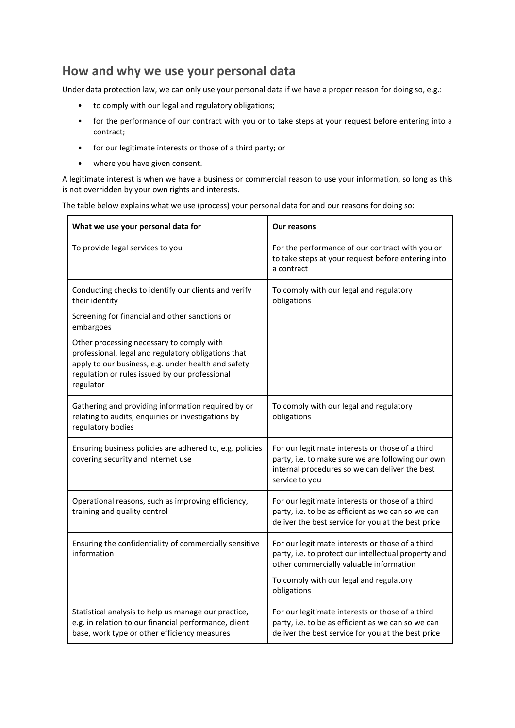#### **How and why we use your personal data**

Under data protection law, we can only use your personal data if we have a proper reason for doing so, e.g.:

- to comply with our legal and regulatory obligations;
- for the performance of our contract with you or to take steps at your request before entering into a contract;
- for our legitimate interests or those of a third party; or
- where you have given consent.

A legitimate interest is when we have a business or commercial reason to use your information, so long as this is not overridden by your own rights and interests.

The table below explains what we use (process) your personal data for and our reasons for doing so:

| What we use your personal data for                                                                                                                                                                                     | <b>Our reasons</b>                                                                                                                                                                                            |
|------------------------------------------------------------------------------------------------------------------------------------------------------------------------------------------------------------------------|---------------------------------------------------------------------------------------------------------------------------------------------------------------------------------------------------------------|
| To provide legal services to you                                                                                                                                                                                       | For the performance of our contract with you or<br>to take steps at your request before entering into<br>a contract                                                                                           |
| Conducting checks to identify our clients and verify<br>their identity<br>Screening for financial and other sanctions or<br>embargoes                                                                                  | To comply with our legal and regulatory<br>obligations                                                                                                                                                        |
| Other processing necessary to comply with<br>professional, legal and regulatory obligations that<br>apply to our business, e.g. under health and safety<br>regulation or rules issued by our professional<br>regulator |                                                                                                                                                                                                               |
| Gathering and providing information required by or<br>relating to audits, enquiries or investigations by<br>regulatory bodies                                                                                          | To comply with our legal and regulatory<br>obligations                                                                                                                                                        |
| Ensuring business policies are adhered to, e.g. policies<br>covering security and internet use                                                                                                                         | For our legitimate interests or those of a third<br>party, i.e. to make sure we are following our own<br>internal procedures so we can deliver the best<br>service to you                                     |
| Operational reasons, such as improving efficiency,<br>training and quality control                                                                                                                                     | For our legitimate interests or those of a third<br>party, i.e. to be as efficient as we can so we can<br>deliver the best service for you at the best price                                                  |
| Ensuring the confidentiality of commercially sensitive<br>information                                                                                                                                                  | For our legitimate interests or those of a third<br>party, i.e. to protect our intellectual property and<br>other commercially valuable information<br>To comply with our legal and regulatory<br>obligations |
| Statistical analysis to help us manage our practice,<br>e.g. in relation to our financial performance, client<br>base, work type or other efficiency measures                                                          | For our legitimate interests or those of a third<br>party, i.e. to be as efficient as we can so we can<br>deliver the best service for you at the best price                                                  |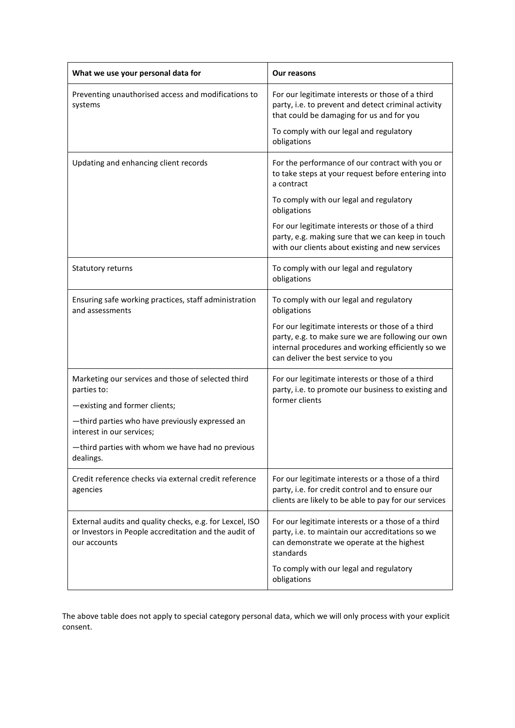| What we use your personal data for                                                                                                | Our reasons                                                                                                                                                                                       |
|-----------------------------------------------------------------------------------------------------------------------------------|---------------------------------------------------------------------------------------------------------------------------------------------------------------------------------------------------|
| Preventing unauthorised access and modifications to<br>systems                                                                    | For our legitimate interests or those of a third<br>party, i.e. to prevent and detect criminal activity<br>that could be damaging for us and for you                                              |
|                                                                                                                                   | To comply with our legal and regulatory<br>obligations                                                                                                                                            |
| Updating and enhancing client records                                                                                             | For the performance of our contract with you or<br>to take steps at your request before entering into<br>a contract                                                                               |
|                                                                                                                                   | To comply with our legal and regulatory<br>obligations                                                                                                                                            |
|                                                                                                                                   | For our legitimate interests or those of a third<br>party, e.g. making sure that we can keep in touch<br>with our clients about existing and new services                                         |
| Statutory returns                                                                                                                 | To comply with our legal and regulatory<br>obligations                                                                                                                                            |
| Ensuring safe working practices, staff administration<br>and assessments                                                          | To comply with our legal and regulatory<br>obligations                                                                                                                                            |
|                                                                                                                                   | For our legitimate interests or those of a third<br>party, e.g. to make sure we are following our own<br>internal procedures and working efficiently so we<br>can deliver the best service to you |
| Marketing our services and those of selected third<br>parties to:                                                                 | For our legitimate interests or those of a third<br>party, i.e. to promote our business to existing and<br>former clients                                                                         |
| -existing and former clients;                                                                                                     |                                                                                                                                                                                                   |
| -third parties who have previously expressed an<br>interest in our services;                                                      |                                                                                                                                                                                                   |
| -third parties with whom we have had no previous<br>dealings.                                                                     |                                                                                                                                                                                                   |
| Credit reference checks via external credit reference<br>agencies                                                                 | For our legitimate interests or a those of a third<br>party, i.e. for credit control and to ensure our<br>clients are likely to be able to pay for our services                                   |
| External audits and quality checks, e.g. for Lexcel, ISO<br>or Investors in People accreditation and the audit of<br>our accounts | For our legitimate interests or a those of a third<br>party, i.e. to maintain our accreditations so we<br>can demonstrate we operate at the highest<br>standards                                  |
|                                                                                                                                   | To comply with our legal and regulatory<br>obligations                                                                                                                                            |

The above table does not apply to special category personal data, which we will only process with your explicit consent.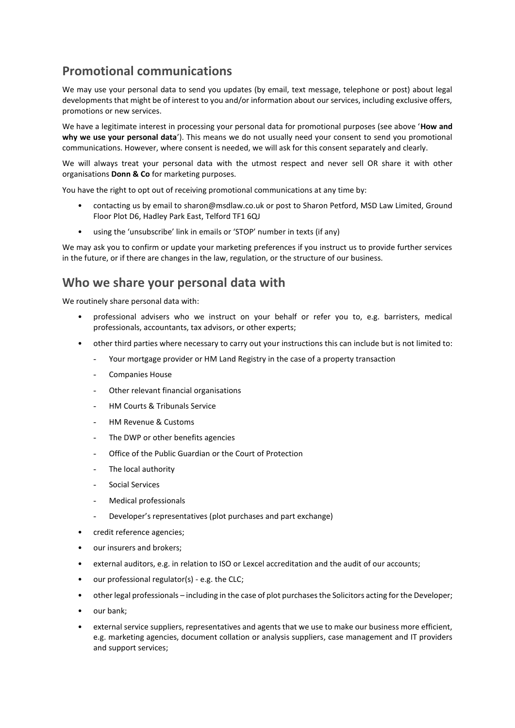# **Promotional communications**

We may use your personal data to send you updates (by email, text message, telephone or post) about legal developments that might be of interest to you and/or information about our services, including exclusive offers, promotions or new services.

We have a legitimate interest in processing your personal data for promotional purposes (see above '**How and why we use your personal data**'). This means we do not usually need your consent to send you promotional communications. However, where consent is needed, we will ask for this consent separately and clearly.

We will always treat your personal data with the utmost respect and never sell OR share it with other organisations **Donn & Co** for marketing purposes.

You have the right to opt out of receiving promotional communications at any time by:

- contacting us by email to sharon@msdlaw.co.uk or post to Sharon Petford, MSD Law Limited, Ground Floor Plot D6, Hadley Park East, Telford TF1 6QJ
- using the 'unsubscribe' link in emails or 'STOP' number in texts (if any)

We may ask you to confirm or update your marketing preferences if you instruct us to provide further services in the future, or if there are changes in the law, regulation, or the structure of our business.

#### **Who we share your personal data with**

We routinely share personal data with:

- professional advisers who we instruct on your behalf or refer you to, e.g. barristers, medical professionals, accountants, tax advisors, or other experts;
- other third parties where necessary to carry out your instructions this can include but is not limited to:
	- Your mortgage provider or HM Land Registry in the case of a property transaction
	- Companies House
	- Other relevant financial organisations
	- HM Courts & Tribunals Service
	- HM Revenue & Customs
	- The DWP or other benefits agencies
	- Office of the Public Guardian or the Court of Protection
	- The local authority
	- Social Services
	- Medical professionals
	- Developer's representatives (plot purchases and part exchange)
- credit reference agencies;
- our insurers and brokers;
- external auditors, e.g. in relation to ISO or Lexcel accreditation and the audit of our accounts;
- our professional regulator(s) e.g. the CLC;
- other legal professionals including in the case of plot purchases the Solicitors acting for the Developer;
- our bank;
- external service suppliers, representatives and agents that we use to make our business more efficient, e.g. marketing agencies, document collation or analysis suppliers, case management and IT providers and support services;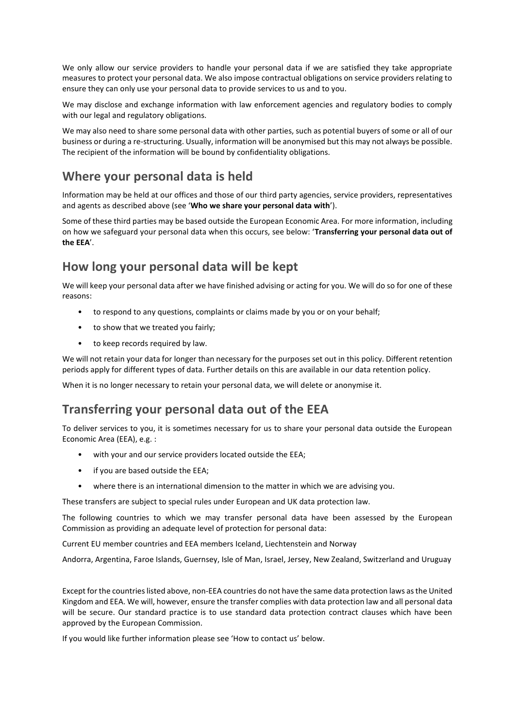We only allow our service providers to handle your personal data if we are satisfied they take appropriate measures to protect your personal data. We also impose contractual obligations on service providers relating to ensure they can only use your personal data to provide services to us and to you.

We may disclose and exchange information with law enforcement agencies and regulatory bodies to comply with our legal and regulatory obligations.

We may also need to share some personal data with other parties, such as potential buyers of some or all of our business or during a re-structuring. Usually, information will be anonymised but this may not always be possible. The recipient of the information will be bound by confidentiality obligations.

## **Where your personal data is held**

Information may be held at our offices and those of our third party agencies, service providers, representatives and agents as described above (see '**Who we share your personal data with**').

Some of these third parties may be based outside the European Economic Area. For more information, including on how we safeguard your personal data when this occurs, see below: '**Transferring your personal data out of the EEA**'.

## **How long your personal data will be kept**

We will keep your personal data after we have finished advising or acting for you. We will do so for one of these reasons:

- to respond to any questions, complaints or claims made by you or on your behalf;
- to show that we treated you fairly;
- to keep records required by law.

We will not retain your data for longer than necessary for the purposes set out in this policy. Different retention periods apply for different types of data. Further details on this are available in our data retention policy.

When it is no longer necessary to retain your personal data, we will delete or anonymise it.

### **Transferring your personal data out of the EEA**

To deliver services to you, it is sometimes necessary for us to share your personal data outside the European Economic Area (EEA), e.g. :

- with your and our service providers located outside the EEA;
- if you are based outside the EEA;
- where there is an international dimension to the matter in which we are advising you.

These transfers are subject to special rules under European and UK data protection law.

The following countries to which we may transfer personal data have been assessed by the European Commission as providing an adequate level of protection for personal data:

Current EU member countries and EEA members Iceland, Liechtenstein and Norway

Andorra, Argentina, Faroe Islands, Guernsey, Isle of Man, Israel, Jersey, New Zealand, Switzerland and Uruguay

Except for the countries listed above, non-EEA countries do not have the same data protection laws as the United Kingdom and EEA. We will, however, ensure the transfer complies with data protection law and all personal data will be secure. Our standard practice is to use standard data protection contract clauses which have been approved by the European Commission.

If you would like further information please see 'How to contact us' below.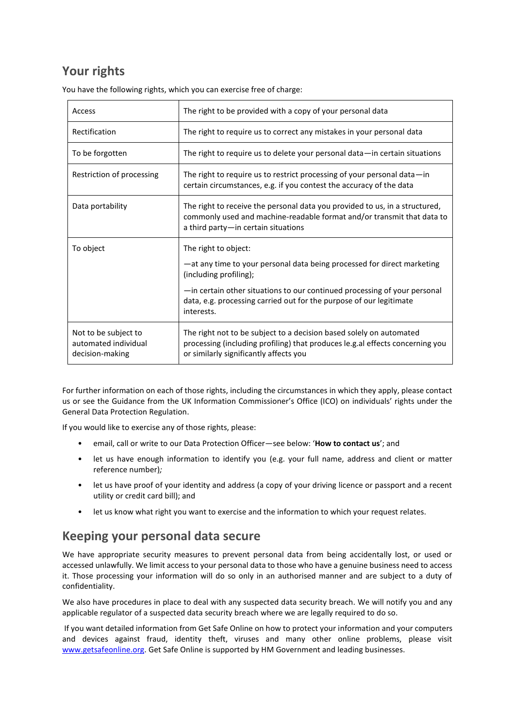# **Your rights**

You have the following rights, which you can exercise free of charge:

| Access                                                          | The right to be provided with a copy of your personal data                                                                                                                                                                                                                                  |
|-----------------------------------------------------------------|---------------------------------------------------------------------------------------------------------------------------------------------------------------------------------------------------------------------------------------------------------------------------------------------|
| Rectification                                                   | The right to require us to correct any mistakes in your personal data                                                                                                                                                                                                                       |
| To be forgotten                                                 | The right to require us to delete your personal data—in certain situations                                                                                                                                                                                                                  |
| Restriction of processing                                       | The right to require us to restrict processing of your personal data-in<br>certain circumstances, e.g. if you contest the accuracy of the data                                                                                                                                              |
| Data portability                                                | The right to receive the personal data you provided to us, in a structured,<br>commonly used and machine-readable format and/or transmit that data to<br>a third party-in certain situations                                                                                                |
| To object                                                       | The right to object:<br>-at any time to your personal data being processed for direct marketing<br>(including profiling);<br>-in certain other situations to our continued processing of your personal<br>data, e.g. processing carried out for the purpose of our legitimate<br>interests. |
| Not to be subject to<br>automated individual<br>decision-making | The right not to be subject to a decision based solely on automated<br>processing (including profiling) that produces le.g.al effects concerning you<br>or similarly significantly affects you                                                                                              |

For further information on each of those rights, including the circumstances in which they apply, please contact us or see the Guida[nce from the UK Information Commissioner's Office \(ICO\) on individuals' rights under the](http://ico.org.uk/for-organisations/guide-to-the-general-data-protection-regulation-gdpr/individual-rights/)  [General Data Protection Regulation.](http://ico.org.uk/for-organisations/guide-to-the-general-data-protection-regulation-gdpr/individual-rights/)

If you would like to exercise any of those rights, please:

- email, call or write to our Data Protection Officer—see below: '**How to contact us**'; and
- let us have enough information to identify you (e.g. your full name, address and client or matter reference number)*;*
- let us have proof of your identity and address (a copy of your driving licence or passport and a recent utility or credit card bill); and
- let us know what right you want to exercise and the information to which your request relates.

### **Keeping your personal data secure**

We have appropriate security measures to prevent personal data from being accidentally lost, or used or accessed unlawfully. We limit access to your personal data to those who have a genuine business need to access it. Those processing your information will do so only in an authorised manner and are subject to a duty of confidentiality.

We also have procedures in place to deal with any suspected data security breach. We will notify you and any applicable regulator of a suspected data security breach where we are legally required to do so.

If you want detailed information from Get Safe Online on how to protect your information and your computers and devices against fraud, identity theft, viruses and many other online problems, please visit [www.getsafeonline.org.](http://www.getsafeonline.org/) Get Safe Online is supported by HM Government and leading businesses.